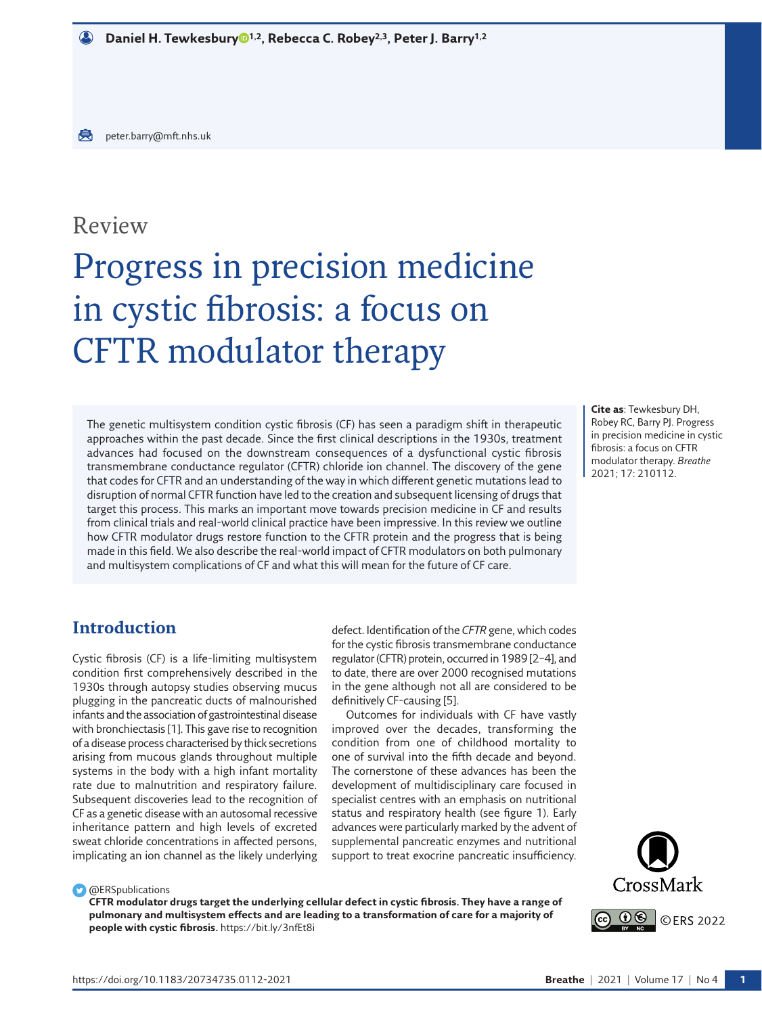# Review

# Progress in precision medicine in cystic fibrosis: a focus on CFTR modulator therapy

The genetic multisystem condition cystic fibrosis (CF) has seen a paradigm shift in therapeutic approaches within the past decade. Since the first clinical descriptions in the 1930s, treatment advances had focused on the downstream consequences of a dysfunctional cystic fibrosis transmembrane conductance regulator (CFTR) chloride ion channel. The discovery of the gene that codes for CFTR and an understanding of the way in which different genetic mutations lead to disruption of normal CFTR function have led to the creation and subsequent licensing of drugs that target this process. This marks an important move towards precision medicine in CF and results from clinical trials and real-world clinical practice have been impressive. In this review we outline how CFTR modulator drugs restore function to the CFTR protein and the progress that is being made in this field. We also describe the real-world impact of CFTR modulators on both pulmonary and multisystem complications of CF and what this will mean for the future of CF care.

**Cite as**: Tewkesbury DH, Robey RC, Barry PJ. Progress in precision medicine in cystic fibrosis: a focus on CFTR modulator therapy. *Breathe* 2021; 17: 210112.

# **Introduction**

Cystic fibrosis (CF) is a life-limiting multisystem condition first comprehensively described in the 1930s through autopsy studies observing mucus plugging in the pancreatic ducts of malnourished infants and the association of gastrointestinal disease with bronchiectasis [\[1\]](#page-10-0). This gave rise to recognition of a disease process characterised by thick secretions arising from mucous glands throughout multiple systems in the body with a high infant mortality rate due to malnutrition and respiratory failure. Subsequent discoveries lead to the recognition of CF as a genetic disease with an autosomal recessive inheritance pattern and high levels of excreted sweat chloride concentrations in affected persons, implicating an ion channel as the likely underlying

defect. Identification of the *CFTR* gene, which codes for the cystic fibrosis transmembrane conductance regulator (CFTR) protein, occurred in 1989 [\[2](#page-10-1)–[4\]](#page-10-2), and to date, there are over 2000 recognised mutations in the gene although not all are considered to be definitively CF-causing [\[5](#page-10-3)].

Outcomes for individuals with CF have vastly improved over the decades, transforming the condition from one of childhood mortality to one of survival into the fifth decade and beyond. The cornerstone of these advances has been the development of multidisciplinary care focused in specialist centres with an emphasis on nutritional status and respiratory health (see [figure 1\)](#page-1-0). Early advances were particularly marked by the advent of supplemental pancreatic enzymes and nutritional support to treat exocrine pancreatic insufficiency.



**C** @ERSpublications

**CFTR modulator drugs target the underlying cellular defect in cystic fibrosis. They have a range of pulmonary and multisystem effects and are leading to a transformation of care for a majority of people with cystic fibrosis.**<https://bit.ly/3nfEt8i>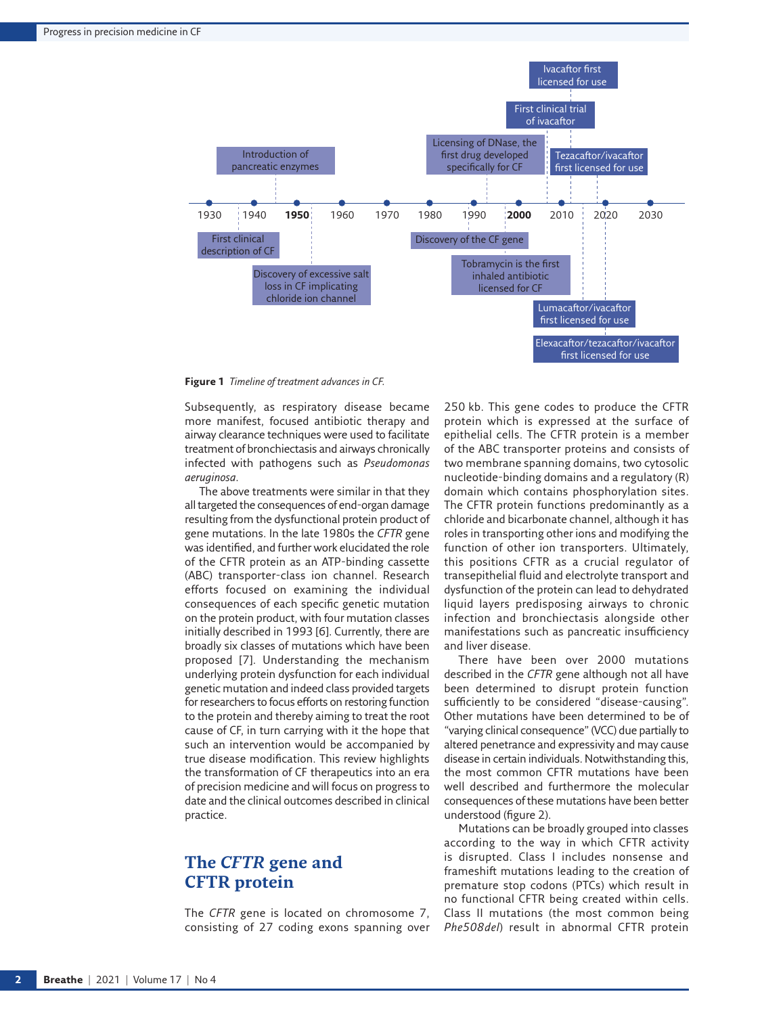

<span id="page-1-0"></span>**Figure 1** *Timeline of treatment advances in CF.*

Subsequently, as respiratory disease became more manifest, focused antibiotic therapy and airway clearance techniques were used to facilitate treatment of bronchiectasis and airways chronically infected with pathogens such as *Pseudomonas aeruginosa*.

The above treatments were similar in that they all targeted the consequences of end-organ damage resulting from the dysfunctional protein product of gene mutations. In the late 1980s the *CFTR* gene was identified, and further work elucidated the role of the CFTR protein as an ATP-binding cassette (ABC) transporter-class ion channel. Research efforts focused on examining the individual consequences of each specific genetic mutation on the protein product, with four mutation classes initially described in 1993 [\[6\]](#page-10-4). Currently, there are broadly six classes of mutations which have been proposed [[7](#page-10-5)]. Understanding the mechanism underlying protein dysfunction for each individual genetic mutation and indeed class provided targets for researchers to focus efforts on restoring function to the protein and thereby aiming to treat the root cause of CF, in turn carrying with it the hope that such an intervention would be accompanied by true disease modification. This review highlights the transformation of CF therapeutics into an era of precision medicine and will focus on progress to date and the clinical outcomes described in clinical practice.

# **The** *CFTR* **gene and CFTR protein**

The *CFTR* gene is located on chromosome 7, consisting of 27 coding exons spanning over 250 kb. This gene codes to produce the CFTR protein which is expressed at the surface of epithelial cells. The CFTR protein is a member of the ABC transporter proteins and consists of two membrane spanning domains, two cytosolic nucleotide-binding domains and a regulatory (R) domain which contains phosphorylation sites. The CFTR protein functions predominantly as a chloride and bicarbonate channel, although it has roles in transporting other ions and modifying the function of other ion transporters. Ultimately, this positions CFTR as a crucial regulator of transepithelial fluid and electrolyte transport and dysfunction of the protein can lead to dehydrated liquid layers predisposing airways to chronic infection and bronchiectasis alongside other manifestations such as pancreatic insufficiency and liver disease.

There have been over 2000 mutations described in the *CFTR* gene although not all have been determined to disrupt protein function sufficiently to be considered "disease-causing". Other mutations have been determined to be of "varying clinical consequence" (VCC) due partially to altered penetrance and expressivity and may cause disease in certain individuals. Notwithstanding this, the most common CFTR mutations have been well described and furthermore the molecular consequences of these mutations have been better understood [\(figure 2](#page-2-0)).

Mutations can be broadly grouped into classes according to the way in which CFTR activity is disrupted. Class I includes nonsense and frameshift mutations leading to the creation of premature stop codons (PTCs) which result in no functional CFTR being created within cells. Class II mutations (the most common being *Phe508del*) result in abnormal CFTR protein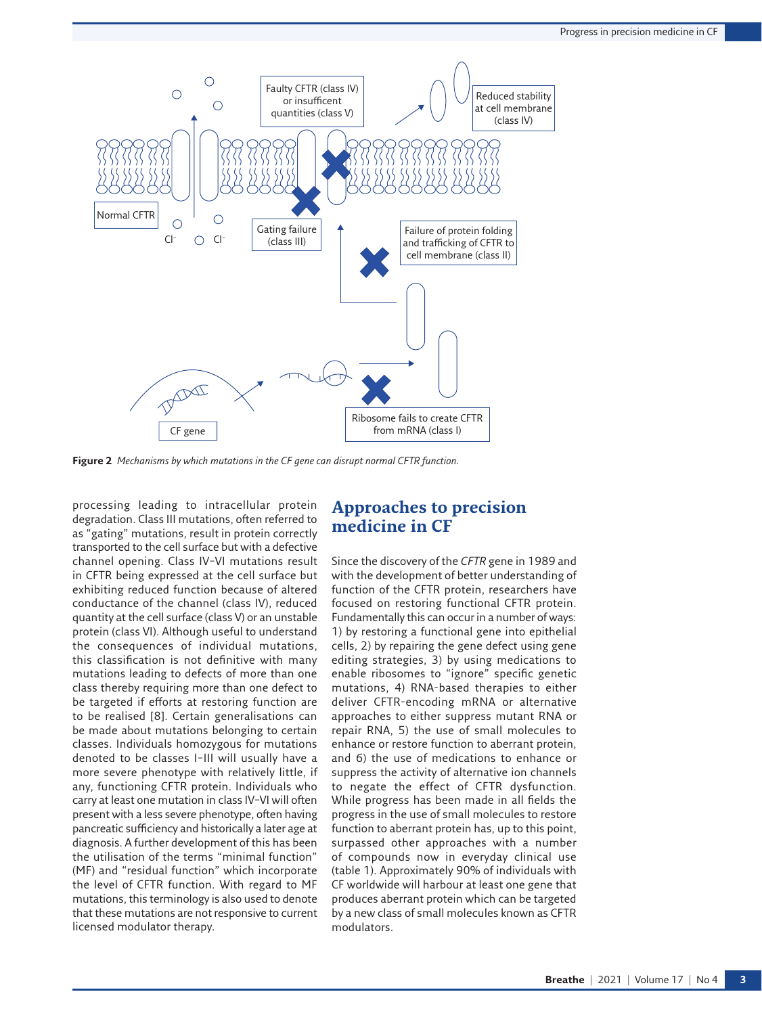

<span id="page-2-0"></span>**Figure 2** *Mechanisms by which mutations in the CF gene can disrupt normal CFTR function.*

processing leading to intracellular protein degradation. Class III mutations, often referred to as "gating" mutations, result in protein correctly transported to the cell surface but with a defective channel opening. Class IV–VI mutations result in CFTR being expressed at the cell surface but exhibiting reduced function because of altered conductance of the channel (class IV), reduced quantity at the cell surface (class V) or an unstable protein (class VI). Although useful to understand the consequences of individual mutations, this classification is not definitive with many mutations leading to defects of more than one class thereby requiring more than one defect to be targeted if efforts at restoring function are to be realised [\[8](#page-10-6)]. Certain generalisations can be made about mutations belonging to certain classes. Individuals homozygous for mutations denoted to be classes I–III will usually have a more severe phenotype with relatively little, if any, functioning CFTR protein. Individuals who carry at least one mutation in class IV–VI will often present with a less severe phenotype, often having pancreatic sufficiency and historically a later age at diagnosis. A further development of this has been the utilisation of the terms "minimal function" (MF) and "residual function" which incorporate the level of CFTR function. With regard to MF mutations, this terminology is also used to denote that these mutations are not responsive to current licensed modulator therapy.

# **Approaches to precision medicine in CF**

Since the discovery of the *CFTR* gene in 1989 and with the development of better understanding of function of the CFTR protein, researchers have focused on restoring functional CFTR protein. Fundamentally this can occur in a number of ways: 1) by restoring a functional gene into epithelial cells, 2) by repairing the gene defect using gene editing strategies, 3) by using medications to enable ribosomes to "ignore" specific genetic mutations, 4) RNA-based therapies to either deliver CFTR-encoding mRNA or alternative approaches to either suppress mutant RNA or repair RNA, 5) the use of small molecules to enhance or restore function to aberrant protein, and 6) the use of medications to enhance or suppress the activity of alternative ion channels to negate the effect of CFTR dysfunction. While progress has been made in all fields the progress in the use of small molecules to restore function to aberrant protein has, up to this point, surpassed other approaches with a number of compounds now in everyday clinical use ([table](#page-3-0) 1). Approximately 90% of individuals with CF worldwide will harbour at least one gene that produces aberrant protein which can be targeted by a new class of small molecules known as CFTR modulators.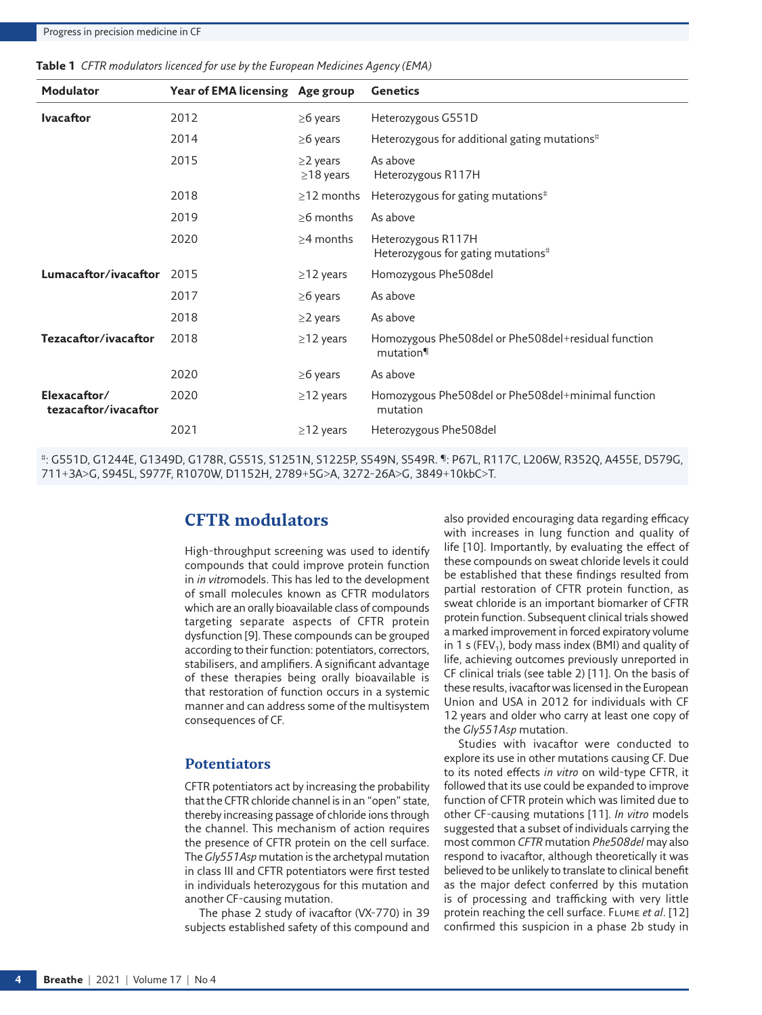| <b>Modulator</b>                     | Year of EMA licensing Age group |                                   | <b>Genetics</b>                                                      |
|--------------------------------------|---------------------------------|-----------------------------------|----------------------------------------------------------------------|
| <b>Ivacaftor</b>                     | 2012                            | $\geq$ 6 years                    | Heterozygous G551D                                                   |
|                                      | 2014                            | $\geq$ 6 years                    | Heterozygous for additional gating mutations <sup>#</sup>            |
|                                      | 2015                            | $\geq$ 2 years<br>$\geq$ 18 years | As above<br>Heterozygous R117H                                       |
|                                      | 2018                            | $\geq$ 12 months                  | Heterozygous for gating mutations <sup>#</sup>                       |
|                                      | 2019                            | $>6$ months                       | As above                                                             |
|                                      | 2020                            | $\geq$ 4 months                   | Heterozygous R117H<br>Heterozygous for gating mutations <sup>#</sup> |
| Lumacaftor/ivacaftor                 | 2015                            | $\geq$ 12 years                   | Homozygous Phe508del                                                 |
|                                      | 2017                            | $\geq$ 6 years                    | As above                                                             |
|                                      | 2018                            | $\geq$ 2 years                    | As above                                                             |
| Tezacaftor/ivacaftor                 | 2018                            | $\geq$ 12 years                   | Homozygous Phe508del or Phe508del+residual function<br>mutation      |
|                                      | 2020                            | $\geq$ 6 years                    | As above                                                             |
| Elexacaftor/<br>tezacaftor/ivacaftor | 2020                            | $\geq$ 12 years                   | Homozygous Phe508del or Phe508del+minimal function<br>mutation       |
|                                      | 2021                            | $\geq$ 12 years                   | Heterozygous Phe508del                                               |

<span id="page-3-0"></span>**Table 1** *CFTR modulators licenced for use by the European Medicines Agency (EMA)*

#: G551D, G1244E, G1349D, G178R, G551S, S1251N, S1225P, S549N, S549R. ¶: P67L, R117C, L206W, R352Q, A455E, D579G, 711+3A>G, S945L, S977F, R1070W, D1152H, 2789+5G>A, 3272-26A>G, 3849+10kbC>T.

## **CFTR modulators**

High-throughput screening was used to identify compounds that could improve protein function in *in vitro*models. This has led to the development of small molecules known as CFTR modulators which are an orally bioavailable class of compounds targeting separate aspects of CFTR protein dysfunction [[9](#page-10-7)]. These compounds can be grouped according to their function: potentiators, correctors, stabilisers, and amplifiers. A significant advantage of these therapies being orally bioavailable is that restoration of function occurs in a systemic manner and can address some of the multisystem consequences of CF.

#### **Potentiators**

CFTR potentiators act by increasing the probability that the CFTR chloride channel is in an "open" state, thereby increasing passage of chloride ions through the channel. This mechanism of action requires the presence of CFTR protein on the cell surface. The *Gly551Asp* mutation is the archetypal mutation in class III and CFTR potentiators were first tested in individuals heterozygous for this mutation and another CF-causing mutation.

The phase 2 study of ivacaftor (VX-770) in 39 subjects established safety of this compound and also provided encouraging data regarding efficacy with increases in lung function and quality of life [[10\]](#page-10-8). Importantly, by evaluating the effect of these compounds on sweat chloride levels it could be established that these findings resulted from partial restoration of CFTR protein function, as sweat chloride is an important biomarker of CFTR protein function. Subsequent clinical trials showed a marked improvement in forced expiratory volume in 1 s (FEV<sub>1</sub>), body mass index (BMI) and quality of life, achieving outcomes previously unreported in CF clinical trials (see [table 2\)](#page-4-0) [\[11\]](#page-10-9). On the basis of these results, ivacaftor was licensed in the European Union and USA in 2012 for individuals with CF 12 years and older who carry at least one copy of the *Gly551Asp* mutation.

Studies with ivacaftor were conducted to explore its use in other mutations causing CF. Due to its noted effects *in vitro* on wild-type CFTR, it followed that its use could be expanded to improve function of CFTR protein which was limited due to other CF-causing mutations [\[11](#page-10-9)]. *In vitro* models suggested that a subset of individuals carrying the most common *CFTR* mutation *Phe508del* may also respond to ivacaftor, although theoretically it was believed to be unlikely to translate to clinical benefit as the major defect conferred by this mutation is of processing and trafficking with very little protein reaching the cell surface. Flume *et al*. [\[12](#page-10-10)] confirmed this suspicion in a phase 2b study in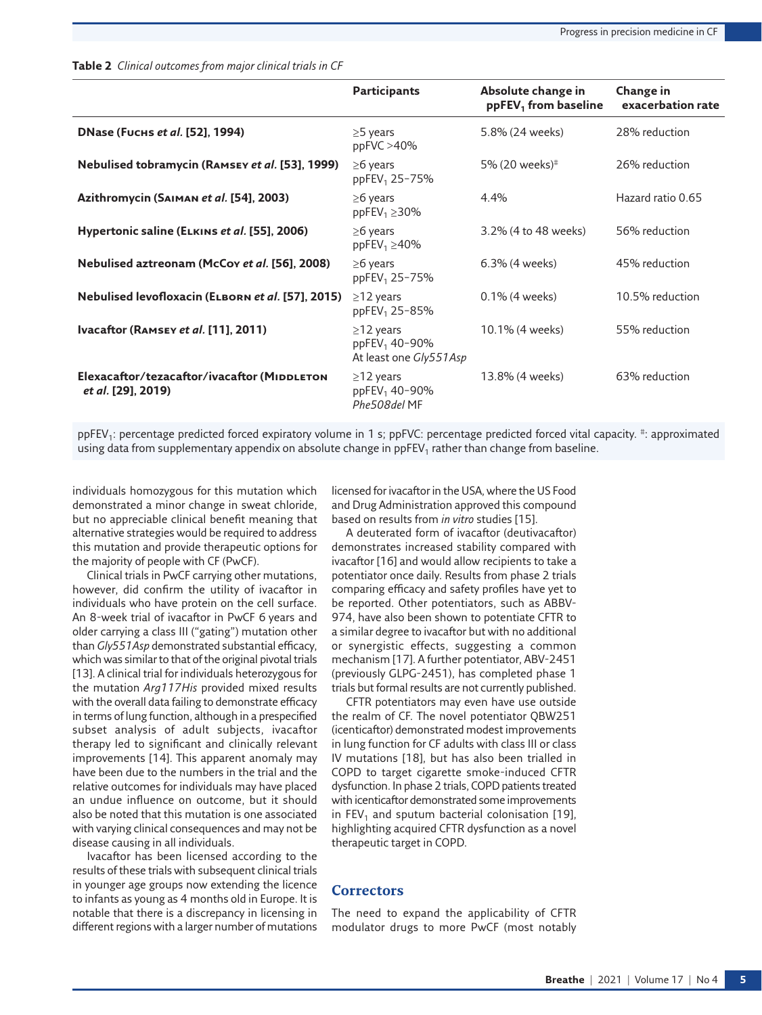|                                                                          | <b>Participants</b>                                                    | Absolute change in<br>$ppFEV1$ from baseline | Change in<br>exacerbation rate |
|--------------------------------------------------------------------------|------------------------------------------------------------------------|----------------------------------------------|--------------------------------|
| <b>DNase (Fuchs et al. [52], 1994)</b>                                   | $\geq$ 5 years<br>ppFVC > 40%                                          | 5.8% (24 weeks)                              | 28% reduction                  |
| Nebulised tobramycin (RAMSEY et al. [53], 1999)                          | $\geq$ 6 years<br>ppFEV <sub>1</sub> 25-75%                            | 5% (20 weeks) <sup>#</sup>                   | 26% reduction                  |
| Azithromycin (SAIMAN et al. [54], 2003)                                  | $\geq$ 6 years<br>ppFEV <sub>1</sub> $\geq$ 30%                        | 4.4%                                         | Hazard ratio 0.65              |
| Hypertonic saline (ELKINS et al. [55], 2006)                             | $\geq$ 6 years<br>ppFEV <sub>1</sub> $\geq$ 40%                        | 3.2% (4 to 48 weeks)                         | 56% reduction                  |
| Nebulised aztreonam (McCoy et al. [56], 2008)                            | $\geq$ 6 years<br>ppFEV <sub>1</sub> 25-75%                            | 6.3% (4 weeks)                               | 45% reduction                  |
| Nebulised levofloxacin (ELBORN et al. [57], 2015)                        | $\geq$ 12 years<br>ppFEV <sub>1</sub> 25-85%                           | 0.1% (4 weeks)                               | 10.5% reduction                |
| Ivacaftor (RAMSEY et al. [11], 2011)                                     | $\geq$ 12 years<br>ppFEV <sub>1</sub> 40-90%<br>At least one Gly551Asp | 10.1% (4 weeks)                              | 55% reduction                  |
| Elexacaftor/tezacaftor/ivacaftor (MIDDLETON<br><i>et al.</i> [29], 2019) | $\geq$ 12 years<br>ppFEV <sub>1</sub> 40-90%<br>Phe508del MF           | 13.8% (4 weeks)                              | 63% reduction                  |

<span id="page-4-0"></span>**Table 2** *Clinical outcomes from major clinical trials in CF*

ppFEV<sub>1</sub>: percentage predicted forced expiratory volume in 1 s; ppFVC: percentage predicted forced vital capacity. #: approximated using data from supplementary appendix on absolute change in ppFEV<sub>1</sub> rather than change from baseline.

individuals homozygous for this mutation which demonstrated a minor change in sweat chloride, but no appreciable clinical benefit meaning that alternative strategies would be required to address this mutation and provide therapeutic options for the majority of people with CF (PwCF).

Clinical trials in PwCF carrying other mutations, however, did confirm the utility of ivacaftor in individuals who have protein on the cell surface. An 8-week trial of ivacaftor in PwCF 6 years and older carrying a class III ("gating") mutation other than *Gly551Asp* demonstrated substantial efficacy, which was similar to that of the original pivotal trials [\[13\]](#page-10-11). A clinical trial for individuals heterozygous for the mutation *Arg117His* provided mixed results with the overall data failing to demonstrate efficacy in terms of lung function, although in a prespecified subset analysis of adult subjects, ivacaftor therapy led to significant and clinically relevant improvements [\[14](#page-10-12)]. This apparent anomaly may have been due to the numbers in the trial and the relative outcomes for individuals may have placed an undue influence on outcome, but it should also be noted that this mutation is one associated with varying clinical consequences and may not be disease causing in all individuals.

Ivacaftor has been licensed according to the results of these trials with subsequent clinical trials in younger age groups now extending the licence to infants as young as 4 months old in Europe. It is notable that there is a discrepancy in licensing in different regions with a larger number of mutations licensed for ivacaftor in the USA, where the US Food and Drug Administration approved this compound based on results from *in vitro* studies [\[15\]](#page-10-13).

A deuterated form of ivacaftor (deutivacaftor) demonstrates increased stability compared with ivacaftor [\[16\]](#page-10-14) and would allow recipients to take a potentiator once daily. Results from phase 2 trials comparing efficacy and safety profiles have yet to be reported. Other potentiators, such as ABBV-974, have also been shown to potentiate CFTR to a similar degree to ivacaftor but with no additional or synergistic effects, suggesting a common mechanism [\[17](#page-10-15)]. A further potentiator, ABV-2451 (previously GLPG-2451), has completed phase 1 trials but formal results are not currently published.

CFTR potentiators may even have use outside the realm of CF. The novel potentiator QBW251 (icenticaftor) demonstrated modest improvements in lung function for CF adults with class III or class IV mutations [\[18](#page-10-16)], but has also been trialled in COPD to target cigarette smoke-induced CFTR dysfunction. In phase 2 trials, COPD patients treated with icenticaftor demonstrated some improvements in FEV<sub>1</sub> and sputum bacterial colonisation [[19\]](#page-10-17), highlighting acquired CFTR dysfunction as a novel therapeutic target in COPD.

#### **Correctors**

The need to expand the applicability of CFTR modulator drugs to more PwCF (most notably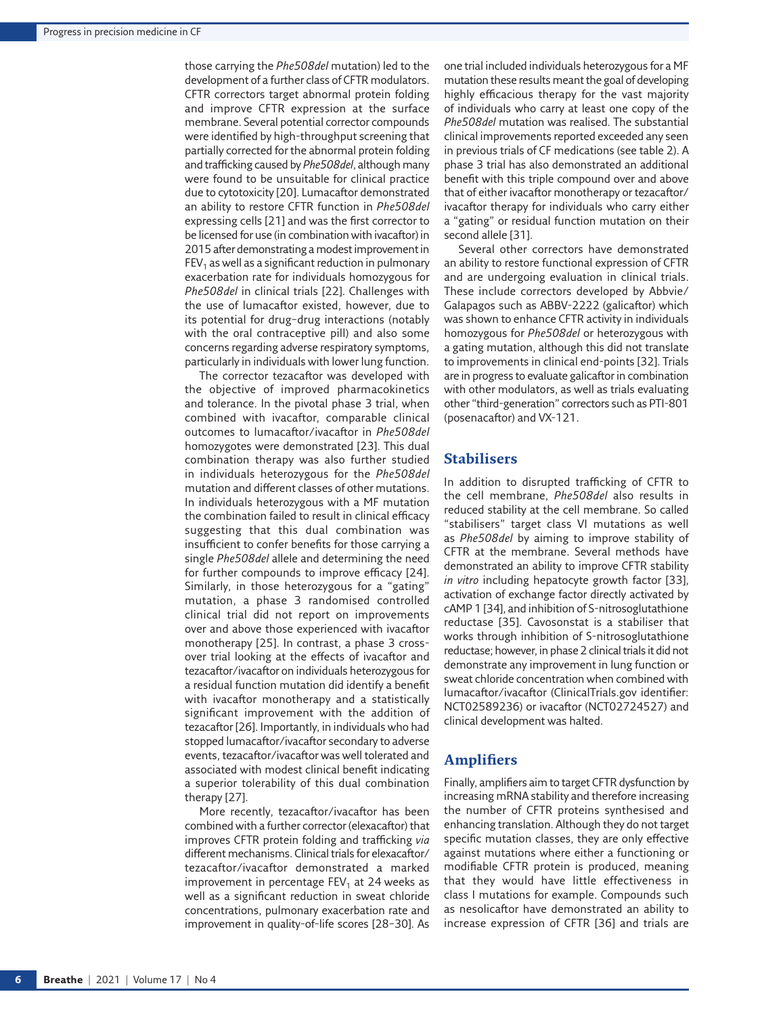those carrying the *Phe508del* mutation) led to the development of a further class of CFTR modulators. CFTR correctors target abnormal protein folding and improve CFTR expression at the surface membrane. Several potential corrector compounds were identified by high-throughput screening that partially corrected for the abnormal protein folding and trafficking caused by *Phe508del*, although many were found to be unsuitable for clinical practice due to cytotoxicity [[20](#page-10-19)]. Lumacaftor demonstrated an ability to restore CFTR function in *Phe508del* expressing cells [[21](#page-10-20)] and was the first corrector to be licensed for use (in combination with ivacaftor) in 2015 after demonstrating a modest improvement in  $FEV<sub>1</sub>$  as well as a significant reduction in pulmonary exacerbation rate for individuals homozygous for *Phe508del* in clinical trials [\[22](#page-10-21)]. Challenges with the use of lumacaftor existed, however, due to its potential for drug–drug interactions (notably with the oral contraceptive pill) and also some concerns regarding adverse respiratory symptoms, particularly in individuals with lower lung function.

The corrector tezacaftor was developed with the objective of improved pharmacokinetics and tolerance. In the pivotal phase 3 trial, when combined with ivacaftor, comparable clinical outcomes to lumacaftor/ivacaftor in *Phe508del* homozygotes were demonstrated [[23](#page-10-22)]. This dual combination therapy was also further studied in individuals heterozygous for the *Phe508del* mutation and different classes of other mutations. In individuals heterozygous with a MF mutation the combination failed to result in clinical efficacy suggesting that this dual combination was insufficient to confer benefits for those carrying a single *Phe508del* allele and determining the need for further compounds to improve efficacy [\[24\]](#page-10-23). Similarly, in those heterozygous for a "gating" mutation, a phase 3 randomised controlled clinical trial did not report on improvements over and above those experienced with ivacaftor monotherapy [[25\]](#page-10-24). In contrast, a phase 3 crossover trial looking at the effects of ivacaftor and tezacaftor/ivacaftor on individuals heterozygous for a residual function mutation did identify a benefit with ivacaftor monotherapy and a statistically significant improvement with the addition of tezacaftor [[26](#page-10-25)]. Importantly, in individuals who had stopped lumacaftor/ivacaftor secondary to adverse events, tezacaftor/ivacaftor was well tolerated and associated with modest clinical benefit indicating a superior tolerability of this dual combination therapy [\[27](#page-10-26)].

More recently, tezacaftor/ivacaftor has been combined with a further corrector (elexacaftor) that improves CFTR protein folding and trafficking *via* different mechanisms. Clinical trials for elexacaftor/ tezacaftor/ivacaftor demonstrated a marked improvement in percentage  $FEV<sub>1</sub>$  at 24 weeks as well as a significant reduction in sweat chloride concentrations, pulmonary exacerbation rate and improvement in quality-of-life scores [[28](#page-10-27)–[30](#page-10-28)]. As one trial included individuals heterozygous for a MF mutation these results meant the goal of developing highly efficacious therapy for the vast majority of individuals who carry at least one copy of the *Phe508del* mutation was realised. The substantial clinical improvements reported exceeded any seen in previous trials of CF medications (see [table 2](#page-4-0)). A phase 3 trial has also demonstrated an additional benefit with this triple compound over and above that of either ivacaftor monotherapy or tezacaftor/ ivacaftor therapy for individuals who carry either a "gating" or residual function mutation on their second allele [\[31\]](#page-10-29).

Several other correctors have demonstrated an ability to restore functional expression of CFTR and are undergoing evaluation in clinical trials. These include correctors developed by Abbvie/ Galapagos such as ABBV-2222 (galicaftor) which was shown to enhance CFTR activity in individuals homozygous for *Phe508del* or heterozygous with a gating mutation, although this did not translate to improvements in clinical end-points [[32](#page-11-6)]. Trials are in progress to evaluate galicaftor in combination with other modulators, as well as trials evaluating other "third-generation" correctors such as PTI-801 (posenacaftor) and VX-121.

#### **Stabilisers**

In addition to disrupted trafficking of CFTR to the cell membrane, *Phe508del* also results in reduced stability at the cell membrane. So called "stabilisers" target class VI mutations as well as *Phe508del* by aiming to improve stability of CFTR at the membrane. Several methods have demonstrated an ability to improve CFTR stability *in vitro* including hepatocyte growth factor [\[33\]](#page-11-7), activation of exchange factor directly activated by cAMP 1 [\[34\]](#page-11-8), and inhibition of S-nitrosoglutathione reductase [[35](#page-11-9)]. Cavosonstat is a stabiliser that works through inhibition of S-nitrosoglutathione reductase; however, in phase 2 clinical trials it did not demonstrate any improvement in lung function or sweat chloride concentration when combined with lumacaftor/ivacaftor [\(ClinicalTrials.gov](https://ClinicalTrials.gov) identifier: NCT02589236) or ivacaftor (NCT02724527) and clinical development was halted.

### **Amplifiers**

Finally, amplifiers aim to target CFTR dysfunction by increasing mRNA stability and therefore increasing the number of CFTR proteins synthesised and enhancing translation. Although they do not target specific mutation classes, they are only effective against mutations where either a functioning or modifiable CFTR protein is produced, meaning that they would have little effectiveness in class I mutations for example. Compounds such as nesolicaftor have demonstrated an ability to increase expression of CFTR [[36](#page-11-10)] and trials are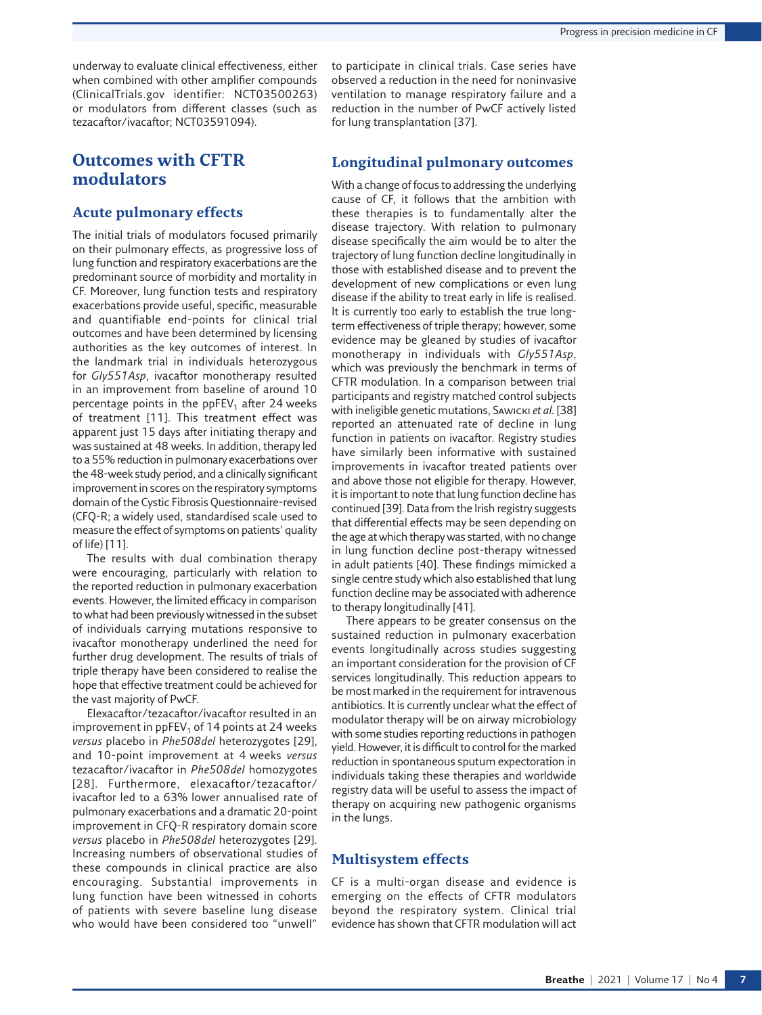underway to evaluate clinical effectiveness, either when combined with other amplifier compounds ([ClinicalTrials.gov](https://ClinicalTrials.gov) identifier: NCT03500263) or modulators from different classes (such as tezacaftor/ivacaftor; NCT03591094).

# **Outcomes with CFTR modulators**

#### **Acute pulmonary effects**

The initial trials of modulators focused primarily on their pulmonary effects, as progressive loss of lung function and respiratory exacerbations are the predominant source of morbidity and mortality in CF. Moreover, lung function tests and respiratory exacerbations provide useful, specific, measurable and quantifiable end-points for clinical trial outcomes and have been determined by licensing authorities as the key outcomes of interest. In the landmark trial in individuals heterozygous for *Gly551Asp*, ivacaftor monotherapy resulted in an improvement from baseline of around 10 percentage points in the  $ppFEV<sub>1</sub>$  after 24 weeks of treatment [\[11](#page-10-9)]. This treatment effect was apparent just 15 days after initiating therapy and was sustained at 48 weeks. In addition, therapy led to a 55% reduction in pulmonary exacerbations over the 48-week study period, and a clinically significant improvement in scores on the respiratory symptoms domain of the Cystic Fibrosis Questionnaire-revised (CFQ-R; a widely used, standardised scale used to measure the effect of symptoms on patients' quality of life) [\[11\]](#page-10-9).

The results with dual combination therapy were encouraging, particularly with relation to the reported reduction in pulmonary exacerbation events. However, the limited efficacy in comparison to what had been previously witnessed in the subset of individuals carrying mutations responsive to ivacaftor monotherapy underlined the need for further drug development. The results of trials of triple therapy have been considered to realise the hope that effective treatment could be achieved for the vast majority of PwCF.

Elexacaftor/tezacaftor/ivacaftor resulted in an improvement in  $ppFEV<sub>1</sub>$  of 14 points at 24 weeks *versus* placebo in *Phe508del* heterozygotes [\[29](#page-10-18)], and 10-point improvement at 4 weeks *versus* tezacaftor/ivacaftor in *Phe508del* homozygotes [[28](#page-10-27)]. Furthermore, elexacaftor/tezacaftor/ ivacaftor led to a 63% lower annualised rate of pulmonary exacerbations and a dramatic 20-point improvement in CFQ-R respiratory domain score *versus* placebo in *Phe508del* heterozygotes [\[29](#page-10-18)]. Increasing numbers of observational studies of these compounds in clinical practice are also encouraging. Substantial improvements in lung function have been witnessed in cohorts of patients with severe baseline lung disease who would have been considered too "unwell"

to participate in clinical trials. Case series have observed a reduction in the need for noninvasive ventilation to manage respiratory failure and a reduction in the number of PwCF actively listed for lung transplantation [[37\]](#page-11-11).

#### **Longitudinal pulmonary outcomes**

With a change of focus to addressing the underlying cause of CF, it follows that the ambition with these therapies is to fundamentally alter the disease trajectory. With relation to pulmonary disease specifically the aim would be to alter the trajectory of lung function decline longitudinally in those with established disease and to prevent the development of new complications or even lung disease if the ability to treat early in life is realised. It is currently too early to establish the true longterm effectiveness of triple therapy; however, some evidence may be gleaned by studies of ivacaftor monotherapy in individuals with *Gly551Asp*, which was previously the benchmark in terms of CFTR modulation. In a comparison between trial participants and registry matched control subjects with ineligible genetic mutations, Sawicki *et al.* [[38](#page-11-12)] reported an attenuated rate of decline in lung function in patients on ivacaftor. Registry studies have similarly been informative with sustained improvements in ivacaftor treated patients over and above those not eligible for therapy. However, it is important to note that lung function decline has continued [\[39\]](#page-11-13). Data from the Irish registry suggests that differential effects may be seen depending on the age at which therapy was started, with no change in lung function decline post-therapy witnessed in adult patients [\[40\]](#page-11-14). These findings mimicked a single centre study which also established that lung function decline may be associated with adherence to therapy longitudinally [[41](#page-11-15)].

There appears to be greater consensus on the sustained reduction in pulmonary exacerbation events longitudinally across studies suggesting an important consideration for the provision of CF services longitudinally. This reduction appears to be most marked in the requirement for intravenous antibiotics. It is currently unclear what the effect of modulator therapy will be on airway microbiology with some studies reporting reductions in pathogen yield. However, it is difficult to control for the marked reduction in spontaneous sputum expectoration in individuals taking these therapies and worldwide registry data will be useful to assess the impact of therapy on acquiring new pathogenic organisms in the lungs.

#### **Multisystem effects**

CF is a multi-organ disease and evidence is emerging on the effects of CFTR modulators beyond the respiratory system. Clinical trial evidence has shown that CFTR modulation will act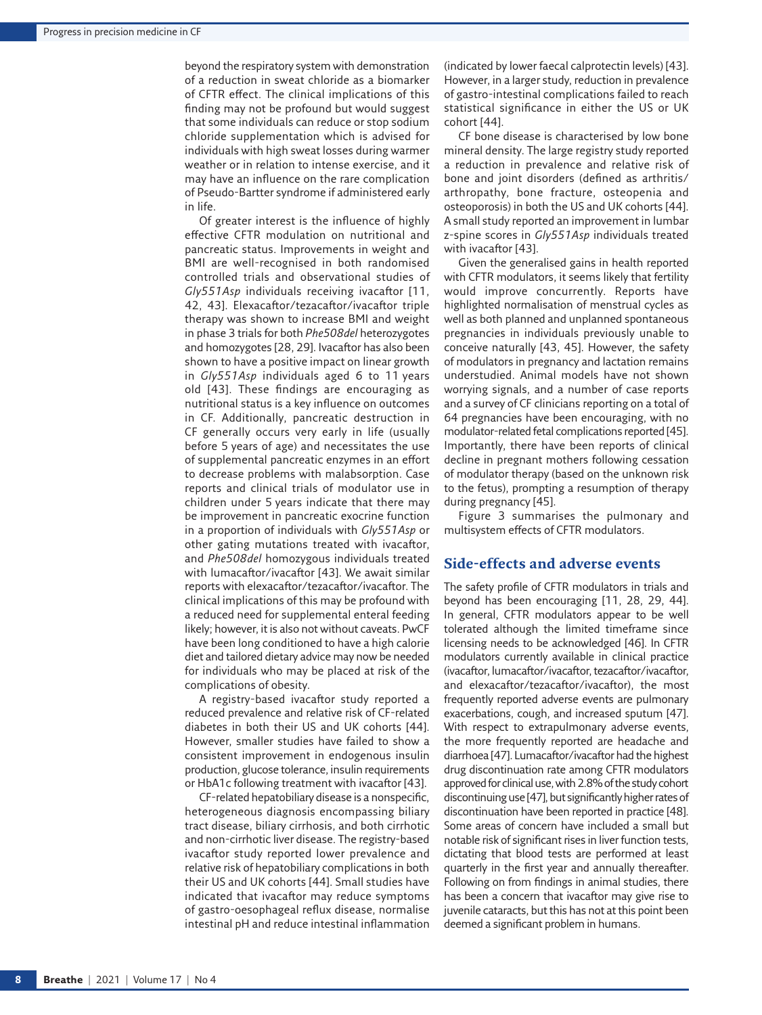beyond the respiratory system with demonstration of a reduction in sweat chloride as a biomarker of CFTR effect. The clinical implications of this finding may not be profound but would suggest that some individuals can reduce or stop sodium chloride supplementation which is advised for individuals with high sweat losses during warmer weather or in relation to intense exercise, and it may have an influence on the rare complication of Pseudo-Bartter syndrome if administered early in life.

Of greater interest is the influence of highly effective CFTR modulation on nutritional and pancreatic status. Improvements in weight and BMI are well-recognised in both randomised controlled trials and observational studies of *Gly551Asp* individuals receiving ivacaftor [\[11,](#page-10-9) [42,](#page-11-16) [43](#page-11-17)]. Elexacaftor/tezacaftor/ivacaftor triple therapy was shown to increase BMI and weight in phase 3 trials for both *Phe508del* heterozygotes and homozygotes [[28,](#page-10-27) [29](#page-10-18)]. Ivacaftor has also been shown to have a positive impact on linear growth in *Gly551Asp* individuals aged 6 to 11 years old [[43](#page-11-17)]. These findings are encouraging as nutritional status is a key influence on outcomes in CF. Additionally, pancreatic destruction in CF generally occurs very early in life (usually before 5 years of age) and necessitates the use of supplemental pancreatic enzymes in an effort to decrease problems with malabsorption. Case reports and clinical trials of modulator use in children under 5 years indicate that there may be improvement in pancreatic exocrine function in a proportion of individuals with *Gly551Asp* or other gating mutations treated with ivacaftor, and *Phe508del* homozygous individuals treated with lumacaftor/ivacaftor [\[43](#page-11-17)]. We await similar reports with elexacaftor/tezacaftor/ivacaftor. The clinical implications of this may be profound with a reduced need for supplemental enteral feeding likely; however, it is also not without caveats. PwCF have been long conditioned to have a high calorie diet and tailored dietary advice may now be needed for individuals who may be placed at risk of the complications of obesity.

A registry-based ivacaftor study reported a reduced prevalence and relative risk of CF-related diabetes in both their US and UK cohorts [\[44\]](#page-11-18). However, smaller studies have failed to show a consistent improvement in endogenous insulin production, glucose tolerance, insulin requirements or HbA1c following treatment with ivacaftor [\[43](#page-11-17)].

CF-related hepatobiliary disease is a nonspecific, heterogeneous diagnosis encompassing biliary tract disease, biliary cirrhosis, and both cirrhotic and non-cirrhotic liver disease. The registry-based ivacaftor study reported lower prevalence and relative risk of hepatobiliary complications in both their US and UK cohorts [[44](#page-11-18)]. Small studies have indicated that ivacaftor may reduce symptoms of gastro-oesophageal reflux disease, normalise intestinal pH and reduce intestinal inflammation (indicated by lower faecal calprotectin levels) [\[43\]](#page-11-17). However, in a larger study, reduction in prevalence of gastro-intestinal complications failed to reach statistical significance in either the US or UK cohort [[44](#page-11-18)].

CF bone disease is characterised by low bone mineral density. The large registry study reported a reduction in prevalence and relative risk of bone and joint disorders (defined as arthritis/ arthropathy, bone fracture, osteopenia and osteoporosis) in both the US and UK cohorts [[44\]](#page-11-18). A small study reported an improvement in lumbar z-spine scores in *Gly551Asp* individuals treated with ivacaftor [\[43](#page-11-17)].

Given the generalised gains in health reported with CFTR modulators, it seems likely that fertility would improve concurrently. Reports have highlighted normalisation of menstrual cycles as well as both planned and unplanned spontaneous pregnancies in individuals previously unable to conceive naturally [[43,](#page-11-17) [45\]](#page-11-19). However, the safety of modulators in pregnancy and lactation remains understudied. Animal models have not shown worrying signals, and a number of case reports and a survey of CF clinicians reporting on a total of 64 pregnancies have been encouraging, with no modulator-related fetal complications reported [[45\]](#page-11-19). Importantly, there have been reports of clinical decline in pregnant mothers following cessation of modulator therapy (based on the unknown risk to the fetus), prompting a resumption of therapy during pregnancy [\[45\]](#page-11-19).

[Figure 3](#page-8-0) summarises the pulmonary and multisystem effects of CFTR modulators.

#### **Side-effects and adverse events**

The safety profile of CFTR modulators in trials and beyond has been encouraging [\[11,](#page-10-9) [28](#page-10-27), [29](#page-10-18), [44\]](#page-11-18). In general, CFTR modulators appear to be well tolerated although the limited timeframe since licensing needs to be acknowledged [[46](#page-11-20)]. In CFTR modulators currently available in clinical practice (ivacaftor, lumacaftor/ivacaftor, tezacaftor/ivacaftor, and elexacaftor/tezacaftor/ivacaftor), the most frequently reported adverse events are pulmonary exacerbations, cough, and increased sputum [\[47\]](#page-11-21). With respect to extrapulmonary adverse events, the more frequently reported are headache and diarrhoea [\[47](#page-11-21)]. Lumacaftor/ivacaftor had the highest drug discontinuation rate among CFTR modulators approved for clinical use, with 2.8% of the study cohort discontinuing use [\[47](#page-11-21)], but significantly higher rates of discontinuation have been reported in practice [[48\]](#page-11-22). Some areas of concern have included a small but notable risk of significant rises in liver function tests, dictating that blood tests are performed at least quarterly in the first year and annually thereafter. Following on from findings in animal studies, there has been a concern that ivacaftor may give rise to juvenile cataracts, but this has not at this point been deemed a significant problem in humans.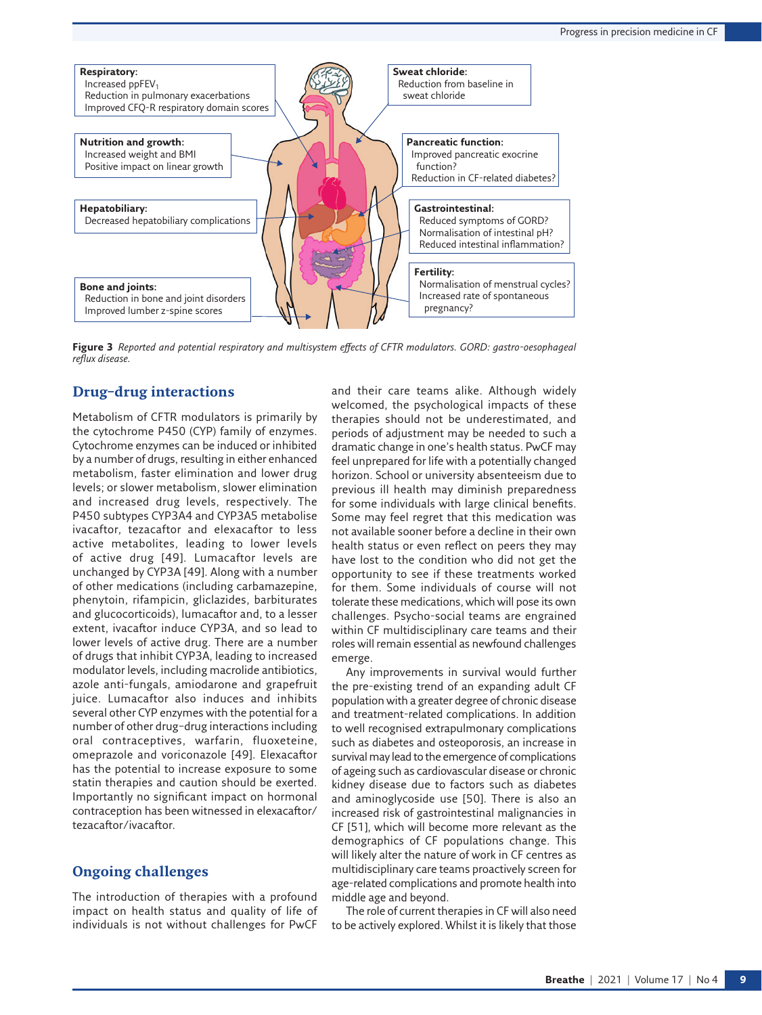

<span id="page-8-0"></span>**Figure 3** *Reported and potential respiratory and multisystem effects of CFTR modulators. GORD: gastro-oesophageal reflux disease.*

## **Drug–drug interactions**

Metabolism of CFTR modulators is primarily by the cytochrome P450 (CYP) family of enzymes. Cytochrome enzymes can be induced or inhibited by a number of drugs, resulting in either enhanced metabolism, faster elimination and lower drug levels; or slower metabolism, slower elimination and increased drug levels, respectively. The P450 subtypes CYP3A4 and CYP3A5 metabolise ivacaftor, tezacaftor and elexacaftor to less active metabolites, leading to lower levels of active drug [[49\]](#page-11-23). Lumacaftor levels are unchanged by CYP3A [\[49](#page-11-23)]. Along with a number of other medications (including carbamazepine, phenytoin, rifampicin, gliclazides, barbiturates and glucocorticoids), lumacaftor and, to a lesser extent, ivacaftor induce CYP3A, and so lead to lower levels of active drug. There are a number of drugs that inhibit CYP3A, leading to increased modulator levels, including macrolide antibiotics, azole anti-fungals, amiodarone and grapefruit juice. Lumacaftor also induces and inhibits several other CYP enzymes with the potential for a number of other drug–drug interactions including oral contraceptives, warfarin, fluoxeteine, omeprazole and voriconazole [[49\]](#page-11-23). Elexacaftor has the potential to increase exposure to some statin therapies and caution should be exerted. Importantly no significant impact on hormonal contraception has been witnessed in elexacaftor/ tezacaftor/ivacaftor.

## **Ongoing challenges**

The introduction of therapies with a profound impact on health status and quality of life of individuals is not without challenges for PwCF and their care teams alike. Although widely welcomed, the psychological impacts of these therapies should not be underestimated, and periods of adjustment may be needed to such a dramatic change in one's health status. PwCF may feel unprepared for life with a potentially changed horizon. School or university absenteeism due to previous ill health may diminish preparedness for some individuals with large clinical benefits. Some may feel regret that this medication was not available sooner before a decline in their own health status or even reflect on peers they may have lost to the condition who did not get the opportunity to see if these treatments worked for them. Some individuals of course will not tolerate these medications, which will pose its own challenges. Psycho-social teams are engrained within CF multidisciplinary care teams and their roles will remain essential as newfound challenges emerge.

Any improvements in survival would further the pre-existing trend of an expanding adult CF population with a greater degree of chronic disease and treatment-related complications. In addition to well recognised extrapulmonary complications such as diabetes and osteoporosis, an increase in survival may lead to the emergence of complications of ageing such as cardiovascular disease or chronic kidney disease due to factors such as diabetes and aminoglycoside use [\[50](#page-11-24)]. There is also an increased risk of gastrointestinal malignancies in CF [\[51](#page-11-25)], which will become more relevant as the demographics of CF populations change. This will likely alter the nature of work in CF centres as multidisciplinary care teams proactively screen for age-related complications and promote health into middle age and beyond.

The role of current therapies in CF will also need to be actively explored. Whilst it is likely that those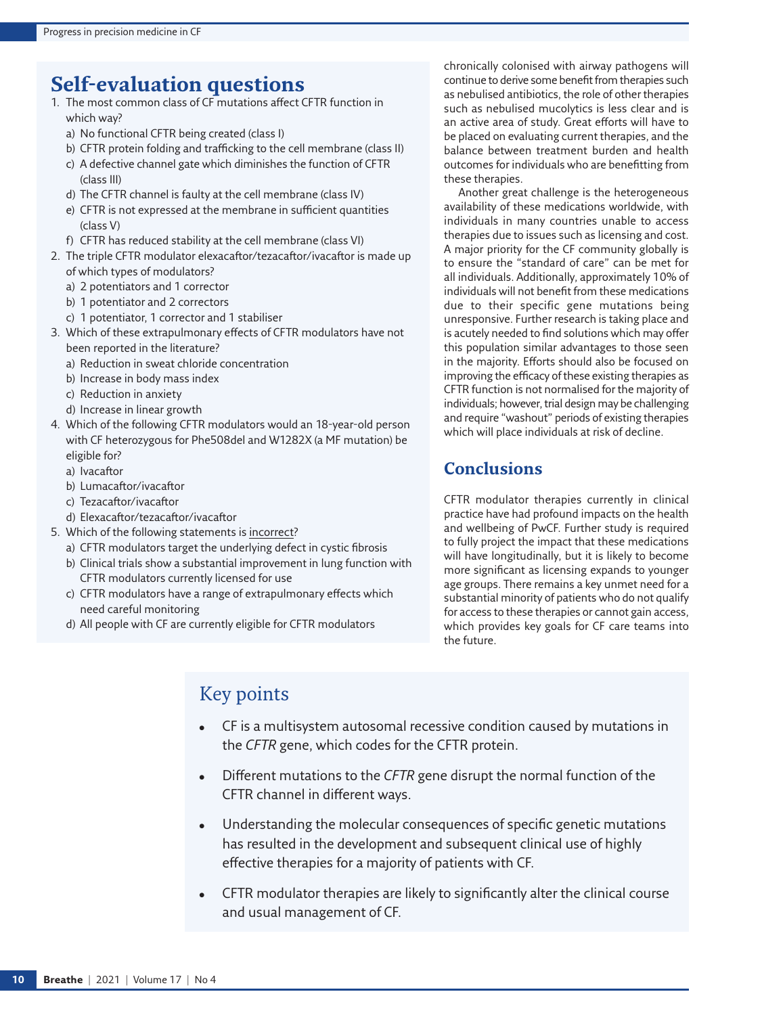# **Self-evaluation questions**

- 1. The most common class of CF mutations affect CFTR function in which way?
	- a) No functional CFTR being created (class I)
	- b) CFTR protein folding and trafficking to the cell membrane (class II)
	- c) A defective channel gate which diminishes the function of CFTR (class III)
	- d) The CFTR channel is faulty at the cell membrane (class IV)
	- e) CFTR is not expressed at the membrane in sufficient quantities (class V)
	- f) CFTR has reduced stability at the cell membrane (class VI)
- 2. The triple CFTR modulator elexacaftor/tezacaftor/ivacaftor is made up of which types of modulators?
	- a) 2 potentiators and 1 corrector
	- b) 1 potentiator and 2 correctors
	- c) 1 potentiator, 1 corrector and 1 stabiliser
- 3. Which of these extrapulmonary effects of CFTR modulators have not been reported in the literature?
	- a) Reduction in sweat chloride concentration
	- b) Increase in body mass index
	- c) Reduction in anxiety
	- d) Increase in linear growth
- 4. Which of the following CFTR modulators would an 18-year-old person with CF heterozygous for Phe508del and W1282X (a MF mutation) be eligible for?
	- a) Ivacaftor
	- b) Lumacaftor/ivacaftor
	- c) Tezacaftor/ivacaftor
	- d) Elexacaftor/tezacaftor/ivacaftor
- 5. Which of the following statements is incorrect?
	- a) CFTR modulators target the underlying defect in cystic fibrosis
	- b) Clinical trials show a substantial improvement in lung function with CFTR modulators currently licensed for use
	- c) CFTR modulators have a range of extrapulmonary effects which need careful monitoring
	- d) All people with CF are currently eligible for CFTR modulators

chronically colonised with airway pathogens will continue to derive some benefit from therapies such as nebulised antibiotics, the role of other therapies such as nebulised mucolytics is less clear and is an active area of study. Great efforts will have to be placed on evaluating current therapies, and the balance between treatment burden and health outcomes for individuals who are benefitting from these therapies.

Another great challenge is the heterogeneous availability of these medications worldwide, with individuals in many countries unable to access therapies due to issues such as licensing and cost. A major priority for the CF community globally is to ensure the "standard of care" can be met for all individuals. Additionally, approximately 10% of individuals will not benefit from these medications due to their specific gene mutations being unresponsive. Further research is taking place and is acutely needed to find solutions which may offer this population similar advantages to those seen in the majority. Efforts should also be focused on improving the efficacy of these existing therapies as CFTR function is not normalised for the majority of individuals; however, trial design may be challenging and require "washout" periods of existing therapies which will place individuals at risk of decline.

# **Conclusions**

CFTR modulator therapies currently in clinical practice have had profound impacts on the health and wellbeing of PwCF. Further study is required to fully project the impact that these medications will have longitudinally, but it is likely to become more significant as licensing expands to younger age groups. There remains a key unmet need for a substantial minority of patients who do not qualify for access to these therapies or cannot gain access, which provides key goals for CF care teams into the future.

# Key points

- CF is a multisystem autosomal recessive condition caused by mutations in the *CFTR* gene, which codes for the CFTR protein.
- Different mutations to the *CFTR* gene disrupt the normal function of the CFTR channel in different ways.
- Understanding the molecular consequences of specific genetic mutations has resulted in the development and subsequent clinical use of highly effective therapies for a majority of patients with CF.
- CFTR modulator therapies are likely to significantly alter the clinical course and usual management of CF.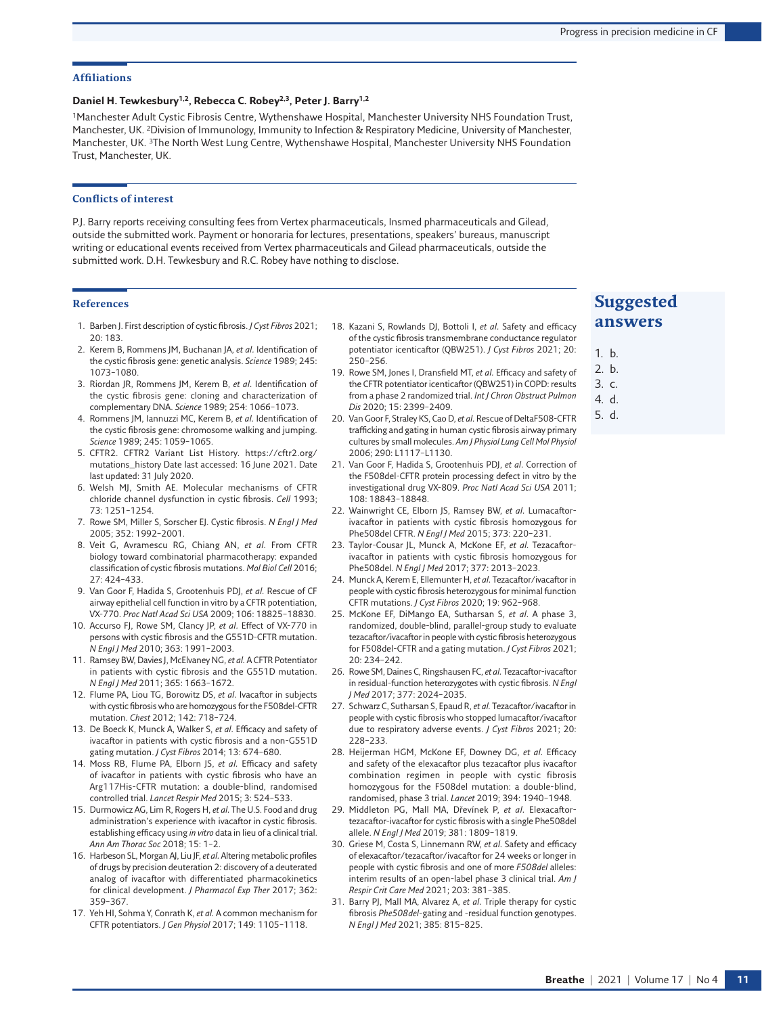#### **Affiliations**

#### **Daniel H. Tewkesbury1,2, Rebecca C. Robey2,3, Peter J. Barry1,2**

1Manchester Adult Cystic Fibrosis Centre, Wythenshawe Hospital, Manchester University NHS Foundation Trust, Manchester, UK. 2Division of Immunology, Immunity to Infection & Respiratory Medicine, University of Manchester, Manchester, UK. 3The North West Lung Centre, Wythenshawe Hospital, Manchester University NHS Foundation Trust, Manchester, UK.

#### **Conflicts of interest**

P.J. Barry reports receiving consulting fees from Vertex pharmaceuticals, Insmed pharmaceuticals and Gilead, outside the submitted work. Payment or honoraria for lectures, presentations, speakers' bureaus, manuscript writing or educational events received from Vertex pharmaceuticals and Gilead pharmaceuticals, outside the submitted work. D.H. Tewkesbury and R.C. Robey have nothing to disclose.

#### **References**

- <span id="page-10-0"></span>1. Barben J. First description of cystic fibrosis. *J Cyst Fibros* 2021; 20: 183.
- <span id="page-10-1"></span>2. Kerem B, Rommens JM, Buchanan JA, *et al.* Identification of the cystic fibrosis gene: genetic analysis. *Science* 1989; 245: 1073–1080.
- 3. Riordan JR, Rommens JM, Kerem B, *et al.* Identification of the cystic fibrosis gene: cloning and characterization of complementary DNA. *Science* 1989; 254: 1066–1073.
- <span id="page-10-2"></span>4. Rommens JM, Iannuzzi MC, Kerem B, *et al.* Identification of the cystic fibrosis gene: chromosome walking and jumping. *Science* 1989; 245: 1059–1065.
- <span id="page-10-3"></span>5. CFTR2. CFTR2 Variant List History. [https://cftr2.org/](https://cftr2.org/mutations_history) [mutations\\_history](https://cftr2.org/mutations_history) Date last accessed: 16 June 2021. Date last updated: 31 July 2020.
- <span id="page-10-4"></span>6. Welsh MJ, Smith AE. Molecular mechanisms of CFTR chloride channel dysfunction in cystic fibrosis. *Cell* 1993; 73: 1251–1254.
- <span id="page-10-5"></span>7. Rowe SM, Miller S, Sorscher EJ. Cystic fibrosis. *N Engl J Med* 2005; 352: 1992–2001.
- <span id="page-10-6"></span>8. Veit G, Avramescu RG, Chiang AN, *et al.* From CFTR biology toward combinatorial pharmacotherapy: expanded classification of cystic fibrosis mutations. *Mol Biol Cell* 2016; 27: 424–433.
- <span id="page-10-7"></span>9. Van Goor F, Hadida S, Grootenhuis PDJ, *et al.* Rescue of CF airway epithelial cell function in vitro by a CFTR potentiation, VX-770. *Proc Natl Acad Sci USA* 2009; 106: 18825–18830.
- <span id="page-10-8"></span>10. Accurso FJ, Rowe SM, Clancy JP, *et al.* Effect of VX-770 in persons with cystic fibrosis and the G551D-CFTR mutation. *N Engl J Med* 2010; 363: 1991–2003.
- <span id="page-10-9"></span>11. Ramsey BW, Davies J, McElvaney NG, *et al.* A CFTR Potentiator in patients with cystic fibrosis and the G551D mutation. *N Engl J Med* 2011; 365: 1663–1672.
- <span id="page-10-10"></span>12. Flume PA, Liou TG, Borowitz DS, *et al.* Ivacaftor in subjects with cystic fibrosis who are homozygous for the F508del-CFTR mutation. *Chest* 2012; 142: 718–724.
- <span id="page-10-11"></span>13. De Boeck K, Munck A, Walker S, *et al.* Efficacy and safety of ivacaftor in patients with cystic fibrosis and a non-G551D gating mutation. *J Cyst Fibros* 2014; 13: 674–680.
- <span id="page-10-12"></span>14. Moss RB, Flume PA, Elborn JS, *et al.* Efficacy and safety of ivacaftor in patients with cystic fibrosis who have an Arg117His-CFTR mutation: a double-blind, randomised controlled trial. *Lancet Respir Med* 2015; 3: 524–533.
- <span id="page-10-13"></span>15. Durmowicz AG, Lim R, Rogers H, *et al.* The U.S. Food and drug administration's experience with ivacaftor in cystic fibrosis. establishing efficacy using *in vitro* data in lieu of a clinical trial. *Ann Am Thorac Soc* 2018; 15: 1–2.
- <span id="page-10-14"></span>16. Harbeson SL, Morgan AJ, Liu JF, *et al.* Altering metabolic profiles of drugs by precision deuteration 2: discovery of a deuterated analog of ivacaftor with differentiated pharmacokinetics for clinical development. *J Pharmacol Exp Ther* 2017; 362: 359–367.
- <span id="page-10-15"></span>17. Yeh HI, Sohma Y, Conrath K, *et al.* A common mechanism for CFTR potentiators. *J Gen Physiol* 2017; 149: 1105–1118.
- <span id="page-10-16"></span>18. Kazani S, Rowlands DJ, Bottoli I, *et al.* Safety and efficacy of the cystic fibrosis transmembrane conductance regulator potentiator icenticaftor (QBW251). *J Cyst Fibros* 2021; 20: 250–256.
- <span id="page-10-17"></span>19. Rowe SM, Jones I, Dransfield MT, *et al.* Efficacy and safety of the CFTR potentiator icenticaftor (QBW251) in COPD: results from a phase 2 randomized trial. *Int J Chron Obstruct Pulmon Dis* 2020; 15: 2399–2409.
- <span id="page-10-19"></span>20. Van Goor F, Straley KS, Cao D, *et al.* Rescue of DeltaF508-CFTR trafficking and gating in human cystic fibrosis airway primary cultures by small molecules. *Am J Physiol Lung Cell Mol Physiol* 2006; 290: L1117–L1130.
- <span id="page-10-20"></span>21. Van Goor F, Hadida S, Grootenhuis PDJ, *et al.* Correction of the F508del-CFTR protein processing defect in vitro by the investigational drug VX-809. *Proc Natl Acad Sci USA* 2011; 108: 18843–18848.
- <span id="page-10-21"></span>22. Wainwright CE, Elborn JS, Ramsey BW, *et al.* Lumacaftorivacaftor in patients with cystic fibrosis homozygous for Phe508del CFTR. *N Engl J Med* 2015; 373: 220–231.
- <span id="page-10-22"></span>23. Taylor-Cousar JL, Munck A, McKone EF, *et al.* Tezacaftorivacaftor in patients with cystic fibrosis homozygous for Phe508del. *N Engl J Med* 2017; 377: 2013–2023.
- <span id="page-10-23"></span>24. Munck A, Kerem E, Ellemunter H, *et al.* Tezacaftor/ivacaftor in people with cystic fibrosis heterozygous for minimal function CFTR mutations. *J Cyst Fibros* 2020; 19: 962–968.
- <span id="page-10-24"></span>25. McKone EF, DiMango EA, Sutharsan S, *et al.* A phase 3, randomized, double-blind, parallel-group study to evaluate tezacaftor/ivacaftor in people with cystic fibrosis heterozygous for F508del-CFTR and a gating mutation. *J Cyst Fibros* 2021; 20: 234–242.
- <span id="page-10-25"></span>26. Rowe SM, Daines C, Ringshausen FC, *et al.* Tezacaftor-ivacaftor in residual-function heterozygotes with cystic fibrosis. *N Engl J Med* 2017; 377: 2024–2035.
- <span id="page-10-26"></span>27. Schwarz C, Sutharsan S, Epaud R, *et al.* Tezacaftor/ivacaftor in people with cystic fibrosis who stopped lumacaftor/ivacaftor due to respiratory adverse events. *J Cyst Fibros* 2021; 20: 228–233.
- <span id="page-10-27"></span>28. Heijerman HGM, McKone EF, Downey DG, *et al.* Efficacy and safety of the elexacaftor plus tezacaftor plus ivacaftor combination regimen in people with cystic fibrosis homozygous for the F508del mutation: a double-blind, randomised, phase 3 trial. *Lancet* 2019; 394: 1940–1948.
- <span id="page-10-18"></span>29. Middleton PG, Mall MA, Dřevínek P, *et al.* Elexacaftortezacaftor-ivacaftor for cystic fibrosis with a single Phe508del allele. *N Engl J Med* 2019; 381: 1809–1819.
- <span id="page-10-28"></span>30. Griese M, Costa S, Linnemann RW, *et al.* Safety and efficacy of elexacaftor/tezacaftor/ivacaftor for 24 weeks or longer in people with cystic fibrosis and one of more *F508del* alleles: interim results of an open-label phase 3 clinical trial. *Am J Respir Crit Care Med* 2021; 203: 381–385.
- <span id="page-10-29"></span>31. Barry PJ, Mall MA, Alvarez A, *et al.* Triple therapy for cystic fibrosis *Phe508del*-gating and -residual function genotypes. *N Engl J Med* 2021; 385: 815–825.

# **Suggested answers**

- 1. b.
- 2. b.
- 3. c.
- 4. d.
- 5. d.